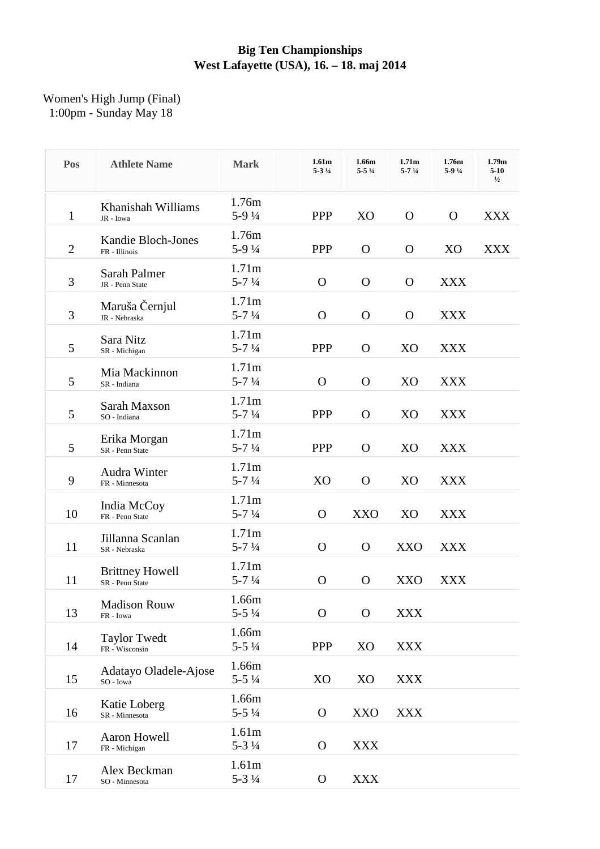## **Big Ten Championships West Lafayette (USA), 16. – 18. maj 2014**

## Women's High Jump (Final) 1:00pm - Sunday May 18

| Pos            | <b>Athlete Name</b>                       | <b>Mark</b>                             | 1.61 <sub>m</sub><br>$5 - 3\frac{1}{4}$ | 1.66m<br>$5 - 5\frac{1}{4}$ | 1.71m<br>$5 - 7\frac{1}{4}$ | 1.76m<br>$5-91/4$ | 1.79 <sub>m</sub><br>$5-10$<br>$\frac{1}{2}$ |
|----------------|-------------------------------------------|-----------------------------------------|-----------------------------------------|-----------------------------|-----------------------------|-------------------|----------------------------------------------|
| $\mathbf{1}$   | Khanishah Williams<br>JR - Iowa           | 1.76m<br>$5-91/4$                       | <b>PPP</b>                              | X <sub>O</sub>              | $\mathbf{O}$                | $\mathbf{O}$      | <b>XXX</b>                                   |
| $\overline{2}$ | Kandie Bloch-Jones<br>FR - Illinois       | 1.76m<br>$5-91/4$                       | <b>PPP</b>                              | $\Omega$                    | $\mathbf{O}$                | X <sub>O</sub>    | <b>XXX</b>                                   |
| 3              | Sarah Palmer<br>JR - Penn State           | 1.71 <sub>m</sub><br>$5 - 7\frac{1}{4}$ | O                                       | $\Omega$                    | $\mathbf{O}$                | XXX               |                                              |
| 3              | Maruša Černjul<br>JR - Nebraska           | 1.71 <sub>m</sub><br>$5 - 7\frac{1}{4}$ | $\Omega$                                | $\Omega$                    | $\mathbf{O}$                | XXX               |                                              |
| 5              | Sara Nitz<br>SR - Michigan                | 1.71 <sub>m</sub><br>$5 - 7\frac{1}{4}$ | <b>PPP</b>                              | $\Omega$                    | X <sub>O</sub>              | XXX               |                                              |
| 5              | Mia Mackinnon<br>SR - Indiana             | 1.71 <sub>m</sub><br>$5 - 7\frac{1}{4}$ | $\Omega$                                | $\Omega$                    | X <sub>O</sub>              | XXX               |                                              |
| 5              | Sarah Maxson<br>SO - Indiana              | 1.71m<br>$5 - 7\frac{1}{4}$             | <b>PPP</b>                              | $\Omega$                    | X <sub>O</sub>              | XXX               |                                              |
| 5              | Erika Morgan<br>SR - Penn State           | 1.71m<br>$5 - 7\frac{1}{4}$             | <b>PPP</b>                              | $\Omega$                    | X <sub>O</sub>              | XXX               |                                              |
| 9              | Audra Winter<br>FR - Minnesota            | 1.71m<br>$5 - 7\frac{1}{4}$             | X <sub>O</sub>                          | $\Omega$                    | X <sub>O</sub>              | XXX               |                                              |
| 10             | India McCoy<br>FR - Penn State            | 1.71 <sub>m</sub><br>$5 - 7\frac{1}{4}$ | O                                       | <b>XXO</b>                  | X <sub>O</sub>              | <b>XXX</b>        |                                              |
| 11             | Jillanna Scanlan<br>SR - Nebraska         | 1.71m<br>$5 - 7\frac{1}{4}$             | $\Omega$                                | $\Omega$                    | XXO                         | XXX               |                                              |
| 11             | <b>Brittney Howell</b><br>SR - Penn State | 1.71m<br>$5 - 7\frac{1}{4}$             | O                                       | $\Omega$                    | XXO                         | <b>XXX</b>        |                                              |
| 13             | <b>Madison Rouw</b><br>FR - Iowa          | 1.66m<br>$5 - 5\frac{1}{4}$             | $\mathbf{O}$                            | $\Omega$                    | <b>XXX</b>                  |                   |                                              |
| 14             | <b>Taylor Twedt</b><br>FR - Wisconsin     | 1.66m<br>$5 - 5\frac{1}{4}$             | <b>PPP</b>                              | X <sub>O</sub>              | <b>XXX</b>                  |                   |                                              |
| 15             | Adatayo Oladele-Ajose<br>SO - Iowa        | 1.66m<br>$5 - 5\frac{1}{4}$             | X <sub>O</sub>                          | X <sub>O</sub>              | <b>XXX</b>                  |                   |                                              |
| 16             | Katie Loberg<br>SR - Minnesota            | 1.66m<br>$5 - 5\frac{1}{4}$             | O                                       | <b>XXO</b>                  | <b>XXX</b>                  |                   |                                              |
| 17             | Aaron Howell<br>FR - Michigan             | 1.61m<br>$5 - 3\frac{1}{4}$             | $\mathbf{O}$                            | <b>XXX</b>                  |                             |                   |                                              |
| 17             | Alex Beckman<br>SO - Minnesota            | 1.61m<br>$5 - 3\frac{1}{4}$             | O                                       | <b>XXX</b>                  |                             |                   |                                              |